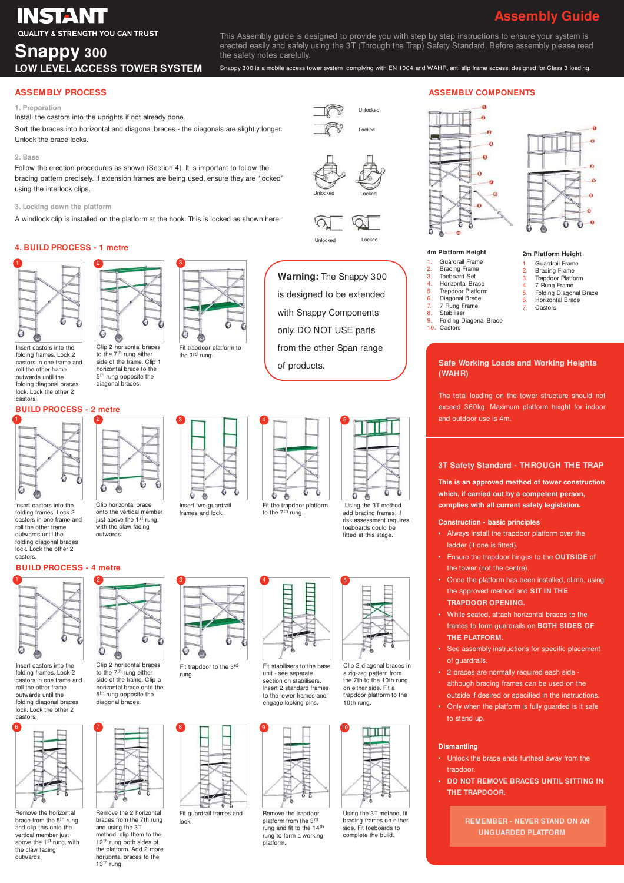# **INSTANT**

### **QUALITY & STRENGTH YOU CAN TRUST**

### **Snappy 300 LOW LEVEL ACCESS TOWER SYSTEM**

This Assembly guide is designed to provide you with step by step instructions to ensure your system is erected easily and safely using the 3T (Through the Trap) Safety Standard. Before assembly please read the safety notes carefully.

Snappy 300 is a mobile access tower system complying with EN 1004 and WAHR, anti slip frame access, designed for Class 3 loading.

Unlocked Locked

Unlocked Locked

Unlocked Locked

**Warning:** The Snappy 300

#### **ASSEMBLY PROCESS**

#### **1. Preparation**

Install the castors into the uprights if not already done.

Sort the braces into horizontal and diagonal braces - the diagonals are slightly longer. Unlock the brace locks.

#### **2. Base**

Follow the erection procedures as shown (Section 4). It is important to follow the bracing pattern precisely. If extension frames are being used, ensure they are "locked" using the interlock clips.

#### **3. Locking down the platform**

A windlock clip is installed on the platform at the hook. This is locked as shown here.

#### **4. BUILD PROCESS - 1 metre**



Insert castors into the folding frames. Lock 2 castors in one frame and roll the other frame outwards until the folding diagonal braces lock. Lock the other 2 castors.

### **BUILD PROCESS - 2 metre**



Insert castors into the folding frames. Lock 2 castors in one frame and roll the other frame outwards until the folding diagonal braces lock. Lock the other 2 castors.

#### **BUILD PROCESS - 4 metre**



Insert castors into the folding frames. Lock 2 castors in one frame and roll the other frame outwards until the folding diagonal braces lock. Lock the other 2



Remove the horizontal brace from the 5<sup>th</sup> rung<br>and clip this onto the vertical member just above the 1<sup>st</sup> rung, with the claw facing outwards.



Clip 2 horizontal braces to the 7<sup>th</sup> rung either<br>side of the frame. Clip 1 horizontal brace to the 5<sup>th</sup> rung opposite the diagonal braces.

 $\circ$ 

onto the vertical member just above the 1st rung, with the claw facing outwards.



Clip 2 horizontal braces to the 7<sup>th</sup> rung either side of the frame. Clip a horizontal brace onto the 5<sup>th</sup> rung opposite the diagonal braces. Fit trapdoor to the 3rd rung.



Fit guardrail frames and

詩

lock.

Ò

Remove the 2 horizontal braces from the 7th rung and using the 3T method, clip them to the 12<sup>th</sup> rung both sides of the platform. Add 2 more horizontal braces to the 13th rung.



G

Insert two guardrail frames and lock.

Ł, **B**  Ğ

## only. DO NOT USE parts from the other Span range of products.



Fit the trapdoor platform<br>to the 7<sup>th</sup> rung.





unit - see separate section on stabilisers. Insert 2 standard frames to the lower frames and engage locking pins.



Remove the trapdoor platform from the 3rd rung and fit to the 14th rung to form a working platform.



Using the 3T method add bracing frames. if risk assessment requires,

G  $\bullet$  ۵

Clip 2 diagonal braces in a zig-zag pattern from the 7th to the 10th rung on either side. Fit a trapdoor platform to the 10th rung.



Using the 3T method, fit bracing frames on either side. Fit toeboards to complete the build.

#### **ASSEMBLY COMPONENTS**





**2m Platform Height** 1. Guardrail Frame 2. Bracing Frame 3. Trapdoor Platform 4. 7 Rung Frame<br>5 Folding Diagon 5. Folding Diagonal Brace 6. Horizontal Brace 7. Castors

#### **4m Platform Height**

- Guardrail Frame **Bracing Frame**
- 3. Toeboard Set<br>4. Horizontal Bra
- 4. Horizontal Brace
- 5. Trapdoor Platform Diagonal Brace
- 7. 7 Rung Frame<br>8. Stabiliser
- 8. Stabiliser<br>9 Folding D 9. Folding Diagonal Brace
- 10. Castors

#### **Safe Working Loads and Working Heights (WAHR)**

The total loading on the tower structure should not exceed 360kg. Maximum platform height for indoor and outdoor use is 4m.

#### **3T Safety Standard - THROUGH THE TRAP**

**This is an approved method of tower construction which, if carried out by a competent person, complies with all current safety legislation.**

#### **Construction - basic principles**

- Always install the trapdoor platform over the ladder (if one is fitted).
- Ensure the trapdoor hinges to the **OUTSIDE** of the tower (not the centre).
- Once the platform has been installed, climb, using the approved method and **SIT IN THE TRAPDOOR OPENING.**
- While seated, attach horizontal braces to the frames to form guardrails on **BOTH SIDES OF THE PLATFORM.**
- See assembly instructions for specific placement of guardrails.
- 2 braces are normally required each side although bracing frames can be used on the outside if desired or specified in the instructions.
- Only when the platform is fully guarded is it safe to stand up.

#### **Dismantling**

- Unlock the brace ends furthest away from the trandoor
- **DO NOT REMOVE BRACES UNTIL SITTING IN THE TRAPDOOR.**

**REMEMBER - NEVER STAND ON AN UNGUARDED PLATFORM**

![](_page_0_Figure_71.jpeg)

**Assembly Guide**